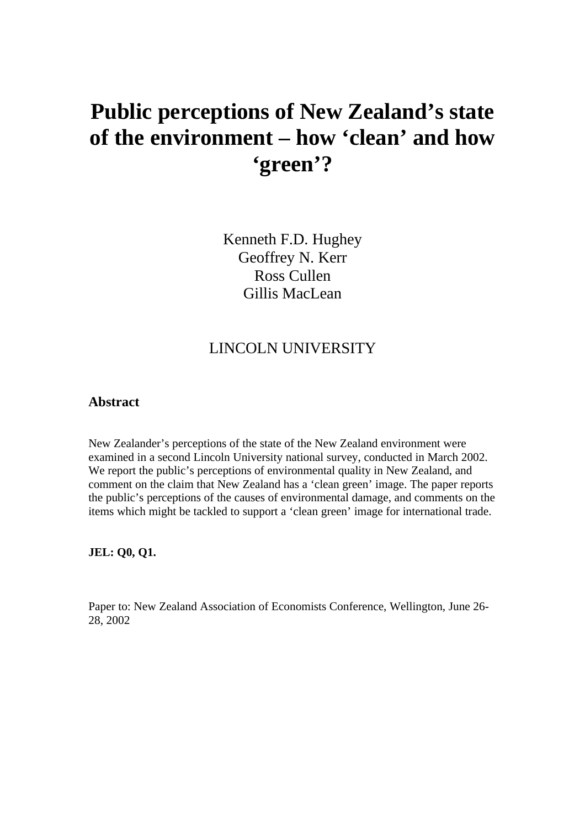# **Public perceptions of New Zealand's state of the environment – how 'clean' and how 'green'?**

Kenneth F.D. Hughey Geoffrey N. Kerr Ross Cullen Gillis MacLean

# LINCOLN UNIVERSITY

## **Abstract**

New Zealander's perceptions of the state of the New Zealand environment were examined in a second Lincoln University national survey, conducted in March 2002. We report the public's perceptions of environmental quality in New Zealand, and comment on the claim that New Zealand has a 'clean green' image. The paper reports the public's perceptions of the causes of environmental damage, and comments on the items which might be tackled to support a 'clean green' image for international trade.

**JEL: Q0, Q1.**

Paper to: New Zealand Association of Economists Conference, Wellington, June 26- 28, 2002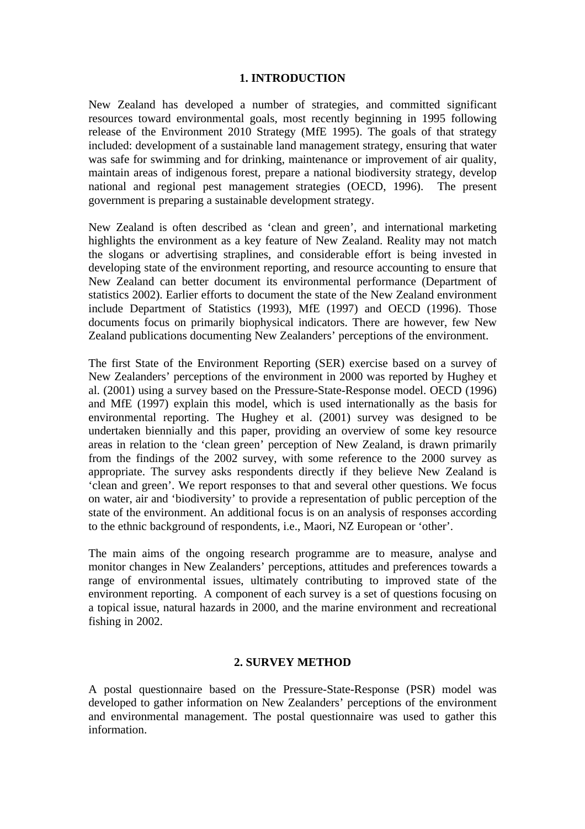#### **1. INTRODUCTION**

New Zealand has developed a number of strategies, and committed significant resources toward environmental goals, most recently beginning in 1995 following release of the Environment 2010 Strategy (MfE 1995). The goals of that strategy included: development of a sustainable land management strategy, ensuring that water was safe for swimming and for drinking, maintenance or improvement of air quality, maintain areas of indigenous forest, prepare a national biodiversity strategy, develop national and regional pest management strategies (OECD, 1996). The present government is preparing a sustainable development strategy.

New Zealand is often described as 'clean and green', and international marketing highlights the environment as a key feature of New Zealand. Reality may not match the slogans or advertising straplines, and considerable effort is being invested in developing state of the environment reporting, and resource accounting to ensure that New Zealand can better document its environmental performance (Department of statistics 2002). Earlier efforts to document the state of the New Zealand environment include Department of Statistics (1993), MfE (1997) and OECD (1996). Those documents focus on primarily biophysical indicators. There are however, few New Zealand publications documenting New Zealanders' perceptions of the environment.

The first State of the Environment Reporting (SER) exercise based on a survey of New Zealanders' perceptions of the environment in 2000 was reported by Hughey et al. (2001) using a survey based on the Pressure-State-Response model. OECD (1996) and MfE (1997) explain this model, which is used internationally as the basis for environmental reporting. The Hughey et al. (2001) survey was designed to be undertaken biennially and this paper, providing an overview of some key resource areas in relation to the 'clean green' perception of New Zealand, is drawn primarily from the findings of the 2002 survey, with some reference to the 2000 survey as appropriate. The survey asks respondents directly if they believe New Zealand is 'clean and green'. We report responses to that and several other questions. We focus on water, air and 'biodiversity' to provide a representation of public perception of the state of the environment. An additional focus is on an analysis of responses according to the ethnic background of respondents, i.e., Maori, NZ European or 'other'.

The main aims of the ongoing research programme are to measure, analyse and monitor changes in New Zealanders' perceptions, attitudes and preferences towards a range of environmental issues, ultimately contributing to improved state of the environment reporting. A component of each survey is a set of questions focusing on a topical issue, natural hazards in 2000, and the marine environment and recreational fishing in 2002.

## **2. SURVEY METHOD**

A postal questionnaire based on the Pressure-State-Response (PSR) model was developed to gather information on New Zealanders' perceptions of the environment and environmental management. The postal questionnaire was used to gather this information.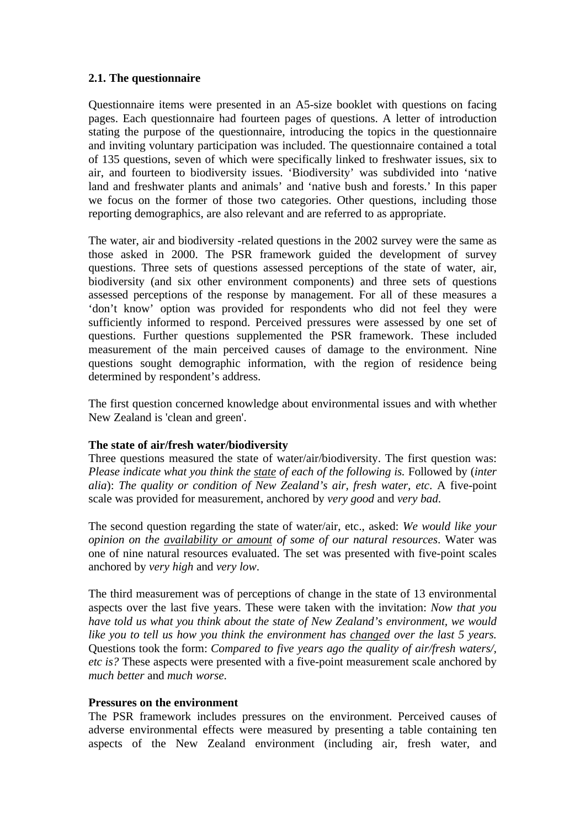## **2.1. The questionnaire**

Questionnaire items were presented in an A5-size booklet with questions on facing pages. Each questionnaire had fourteen pages of questions. A letter of introduction stating the purpose of the questionnaire, introducing the topics in the questionnaire and inviting voluntary participation was included. The questionnaire contained a total of 135 questions, seven of which were specifically linked to freshwater issues, six to air, and fourteen to biodiversity issues. 'Biodiversity' was subdivided into 'native land and freshwater plants and animals' and 'native bush and forests.' In this paper we focus on the former of those two categories. Other questions, including those reporting demographics, are also relevant and are referred to as appropriate.

The water, air and biodiversity -related questions in the 2002 survey were the same as those asked in 2000. The PSR framework guided the development of survey questions. Three sets of questions assessed perceptions of the state of water, air, biodiversity (and six other environment components) and three sets of questions assessed perceptions of the response by management. For all of these measures a 'don't know' option was provided for respondents who did not feel they were sufficiently informed to respond. Perceived pressures were assessed by one set of questions. Further questions supplemented the PSR framework. These included measurement of the main perceived causes of damage to the environment. Nine questions sought demographic information, with the region of residence being determined by respondent's address.

The first question concerned knowledge about environmental issues and with whether New Zealand is 'clean and green'.

## **The state of air/fresh water/biodiversity**

Three questions measured the state of water/air/biodiversity. The first question was: *Please indicate what you think the state of each of the following is.* Followed by (*inter alia*): *The quality or condition of New Zealand's air, fresh water, etc*. A five-point scale was provided for measurement, anchored by *very good* and *very bad*.

The second question regarding the state of water/air, etc., asked: *We would like your opinion on the availability or amount of some of our natural resources*. Water was one of nine natural resources evaluated. The set was presented with five-point scales anchored by *very high* and *very low*.

The third measurement was of perceptions of change in the state of 13 environmental aspects over the last five years. These were taken with the invitation: *Now that you have told us what you think about the state of New Zealand's environment, we would like you to tell us how you think the environment has changed over the last 5 years.* Questions took the form: *Compared to five years ago the quality of air/fresh waters/, etc is?* These aspects were presented with a five-point measurement scale anchored by *much better* and *much worse*.

## **Pressures on the environment**

The PSR framework includes pressures on the environment. Perceived causes of adverse environmental effects were measured by presenting a table containing ten aspects of the New Zealand environment (including air, fresh water, and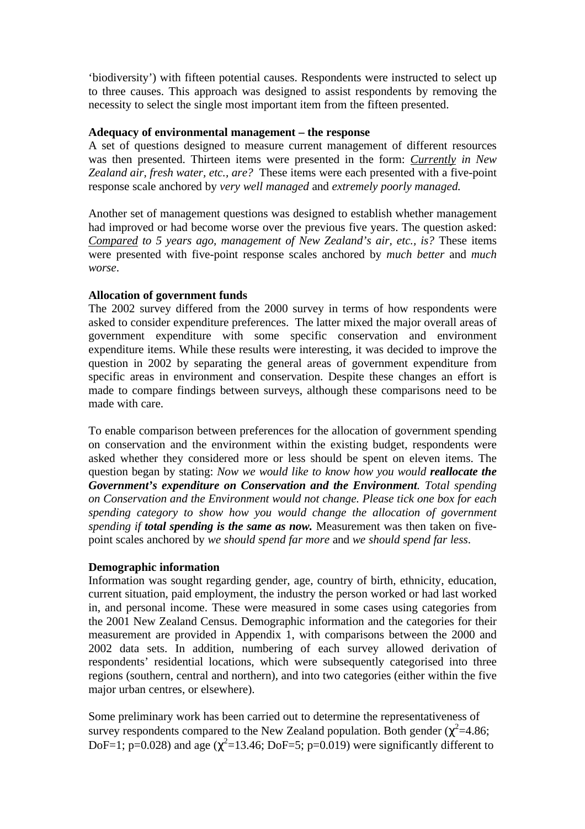'biodiversity') with fifteen potential causes. Respondents were instructed to select up to three causes. This approach was designed to assist respondents by removing the necessity to select the single most important item from the fifteen presented.

#### **Adequacy of environmental management – the response**

A set of questions designed to measure current management of different resources was then presented. Thirteen items were presented in the form: *Currently in New Zealand air, fresh water, etc., are?* These items were each presented with a five-point response scale anchored by *very well managed* and *extremely poorly managed.*

Another set of management questions was designed to establish whether management had improved or had become worse over the previous five years. The question asked: *Compared to 5 years ago, management of New Zealand's air, etc., is?* These items were presented with five-point response scales anchored by *much better* and *much worse*.

## **Allocation of government funds**

The 2002 survey differed from the 2000 survey in terms of how respondents were asked to consider expenditure preferences. The latter mixed the major overall areas of government expenditure with some specific conservation and environment expenditure items. While these results were interesting, it was decided to improve the question in 2002 by separating the general areas of government expenditure from specific areas in environment and conservation. Despite these changes an effort is made to compare findings between surveys, although these comparisons need to be made with care.

To enable comparison between preferences for the allocation of government spending on conservation and the environment within the existing budget, respondents were asked whether they considered more or less should be spent on eleven items. The question began by stating: *Now we would like to know how you would reallocate the Government's expenditure on Conservation and the Environment. Total spending on Conservation and the Environment would not change. Please tick one box for each spending category to show how you would change the allocation of government spending if total spending is the same as now.* Measurement was then taken on fivepoint scales anchored by *we should spend far more* and *we should spend far less*.

## **Demographic information**

Information was sought regarding gender, age, country of birth, ethnicity, education, current situation, paid employment, the industry the person worked or had last worked in, and personal income. These were measured in some cases using categories from the 2001 New Zealand Census. Demographic information and the categories for their measurement are provided in Appendix 1, with comparisons between the 2000 and 2002 data sets. In addition, numbering of each survey allowed derivation of respondents' residential locations, which were subsequently categorised into three regions (southern, central and northern), and into two categories (either within the five major urban centres, or elsewhere).

Some preliminary work has been carried out to determine the representativeness of survey respondents compared to the New Zealand population. Both gender ( $\chi^2$ =4.86; DoF=1; p=0.028) and age ( $\chi^2$ =13.46; DoF=5; p=0.019) were significantly different to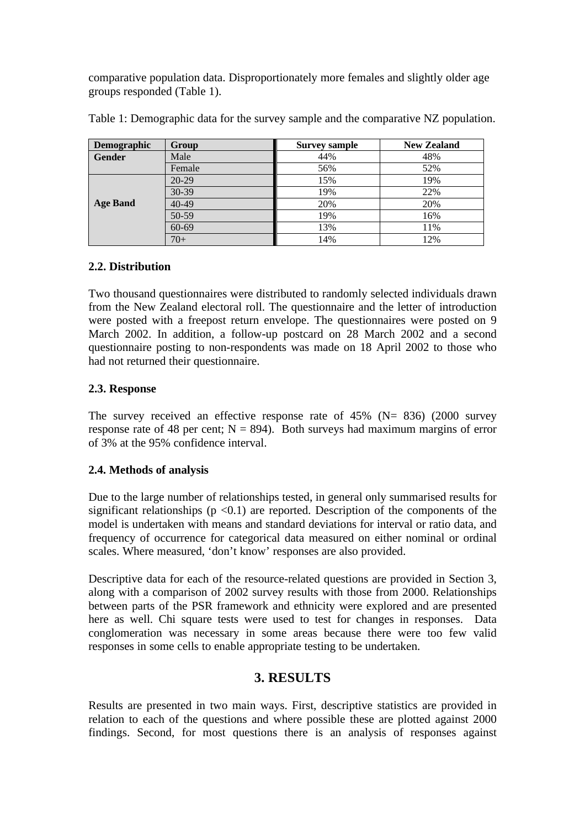comparative population data. Disproportionately more females and slightly older age groups responded (Table 1).

| <b>Demographic</b> | Group     | <b>Survey sample</b> | <b>New Zealand</b> |
|--------------------|-----------|----------------------|--------------------|
| <b>Gender</b>      | Male      | 44%                  | 48%                |
|                    | Female    | 56%                  | 52%                |
|                    | $20 - 29$ | 15%                  | 19%                |
|                    | 30-39     | 19%                  | 22%                |
| <b>Age Band</b>    | $40 - 49$ | 20%                  | 20%                |
|                    | 50-59     | 19%                  | 16%                |
|                    | 60-69     | 13%                  | 11%                |
|                    | $70+$     | 14%                  | 12%                |

Table 1: Demographic data for the survey sample and the comparative NZ population.

## **2.2. Distribution**

Two thousand questionnaires were distributed to randomly selected individuals drawn from the New Zealand electoral roll. The questionnaire and the letter of introduction were posted with a freepost return envelope. The questionnaires were posted on 9 March 2002. In addition, a follow-up postcard on 28 March 2002 and a second questionnaire posting to non-respondents was made on 18 April 2002 to those who had not returned their questionnaire.

## **2.3. Response**

The survey received an effective response rate of  $45\%$  (N=  $836$ ) (2000 survey response rate of 48 per cent;  $N = 894$ ). Both surveys had maximum margins of error of 3% at the 95% confidence interval.

## **2.4. Methods of analysis**

Due to the large number of relationships tested, in general only summarised results for significant relationships  $(p \lt 0.1)$  are reported. Description of the components of the model is undertaken with means and standard deviations for interval or ratio data, and frequency of occurrence for categorical data measured on either nominal or ordinal scales. Where measured, 'don't know' responses are also provided.

Descriptive data for each of the resource-related questions are provided in Section 3, along with a comparison of 2002 survey results with those from 2000. Relationships between parts of the PSR framework and ethnicity were explored and are presented here as well. Chi square tests were used to test for changes in responses. Data conglomeration was necessary in some areas because there were too few valid responses in some cells to enable appropriate testing to be undertaken.

# **3. RESULTS**

Results are presented in two main ways. First, descriptive statistics are provided in relation to each of the questions and where possible these are plotted against 2000 findings. Second, for most questions there is an analysis of responses against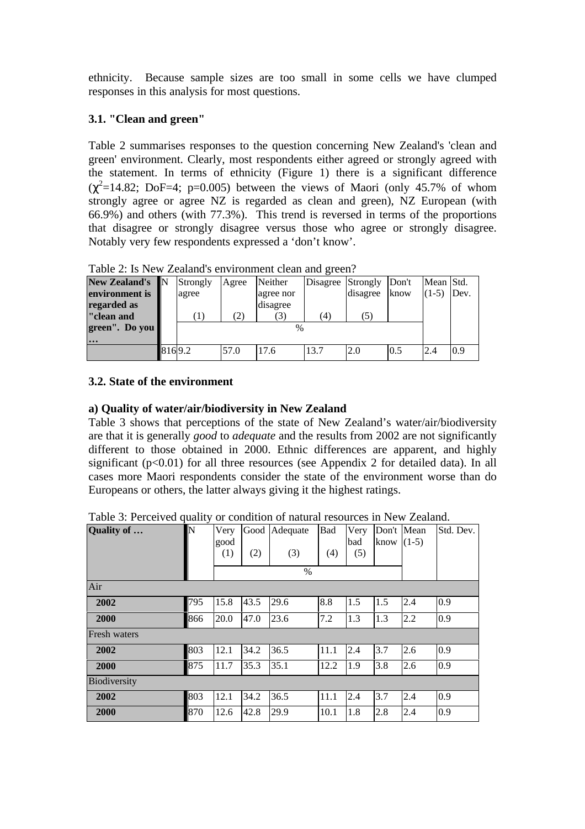ethnicity. Because sample sizes are too small in some cells we have clumped responses in this analysis for most questions.

## **3.1. "Clean and green"**

Table 2 summarises responses to the question concerning New Zealand's 'clean and green' environment. Clearly, most respondents either agreed or strongly agreed with the statement. In terms of ethnicity (Figure 1) there is a significant difference  $(\chi^2=14.82; \text{DoF}=4; \text{p}=0.005)$  between the views of Maori (only 45.7% of whom strongly agree or agree NZ is regarded as clean and green), NZ European (with 66.9%) and others (with 77.3%). This trend is reversed in terms of the proportions that disagree or strongly disagree versus those who agree or strongly disagree. Notably very few respondents expressed a 'don't know'.

| Twore $\equiv$ , to then Elements of the indimidial elements $\subseteq$ . For $\alpha$ |          |       |               |          |          |       |           |      |  |
|-----------------------------------------------------------------------------------------|----------|-------|---------------|----------|----------|-------|-----------|------|--|
| New Zealand's N                                                                         | Strongly | Agree | Neither       | Disagree | Strongly | Don't | Mean Std. |      |  |
| environment is                                                                          | agree    |       | agree nor     |          | disagree | know  | $(1-5)$   | Dev. |  |
| regarded as                                                                             |          |       | disagree      |          |          |       |           |      |  |
| "clean and                                                                              |          | (2)   |               | 41       | (5)      |       |           |      |  |
| green". Do you                                                                          |          |       | $\frac{0}{0}$ |          |          |       |           |      |  |
| $\cdot \cdot \cdot$                                                                     |          |       |               |          |          |       |           |      |  |
|                                                                                         | 8169.2   | 57.0  | 17.6          | 13.7     | 2.0      | 0.5   | 2.4       | 0.9  |  |

Table 2: Is New Zealand's environment clean and green?

## **3.2. State of the environment**

## **a) Quality of water/air/biodiversity in New Zealand**

Table 3 shows that perceptions of the state of New Zealand's water/air/biodiversity are that it is generally *good* to *adequate* and the results from 2002 are not significantly different to those obtained in 2000. Ethnic differences are apparent, and highly significant  $(p<0.01)$  for all three resources (see Appendix 2 for detailed data). In all cases more Maori respondents consider the state of the environment worse than do Europeans or others, the latter always giving it the highest ratings.

| Quality of   | N   | Very<br>good<br>(1) | Good<br>(2) | Adequate<br>(3)<br>$\%$ | Bad<br>(4) | Very<br>bad<br>(5) | Don't Mean<br>know $(1-5)$ |     | Std. Dev. |
|--------------|-----|---------------------|-------------|-------------------------|------------|--------------------|----------------------------|-----|-----------|
| Air          |     |                     |             |                         |            |                    |                            |     |           |
| 2002         | 795 | 15.8                | 43.5        | 29.6                    | 8.8        | 1.5                | 1.5                        | 2.4 | 0.9       |
| 2000         | 866 | 20.0                | 47.0        | 23.6                    | 7.2        | 1.3                | 1.3                        | 2.2 | 0.9       |
| Fresh waters |     |                     |             |                         |            |                    |                            |     |           |
| 2002         | 803 | 12.1                | 34.2        | 36.5                    | 11.1       | 2.4                | 3.7                        | 2.6 | 0.9       |
| 2000         | 875 | 11.7                | 35.3        | 35.1                    | 12.2       | 1.9                | 3.8                        | 2.6 | 0.9       |
| Biodiversity |     |                     |             |                         |            |                    |                            |     |           |
| 2002         | 803 | 12.1                | 34.2        | 36.5                    | 11.1       | 2.4                | 3.7                        | 2.4 | 0.9       |
| 2000         | 870 | 12.6                | 42.8        | 29.9                    | 10.1       | 1.8                | 2.8                        | 2.4 | 0.9       |

Table 3: Perceived quality or condition of natural resources in New Zealand.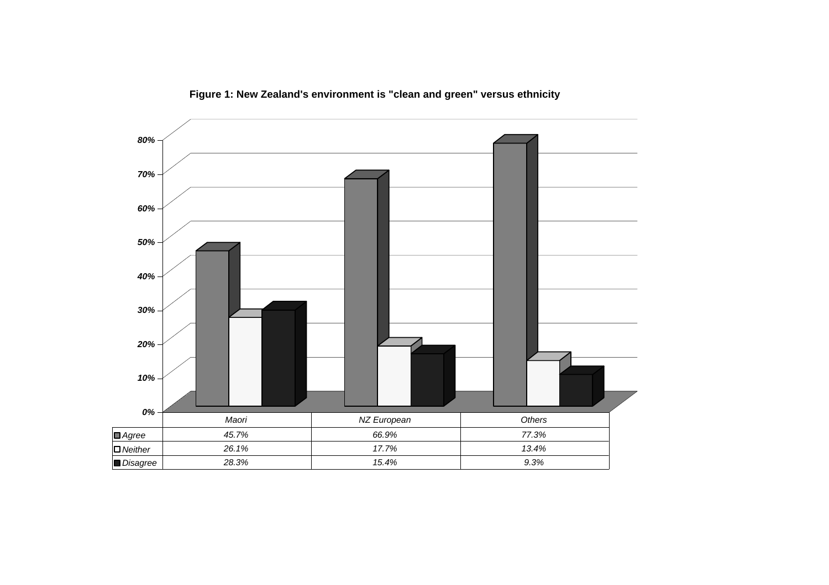

**Figure 1: New Zealand's environment is "clean and green" versus ethnicity**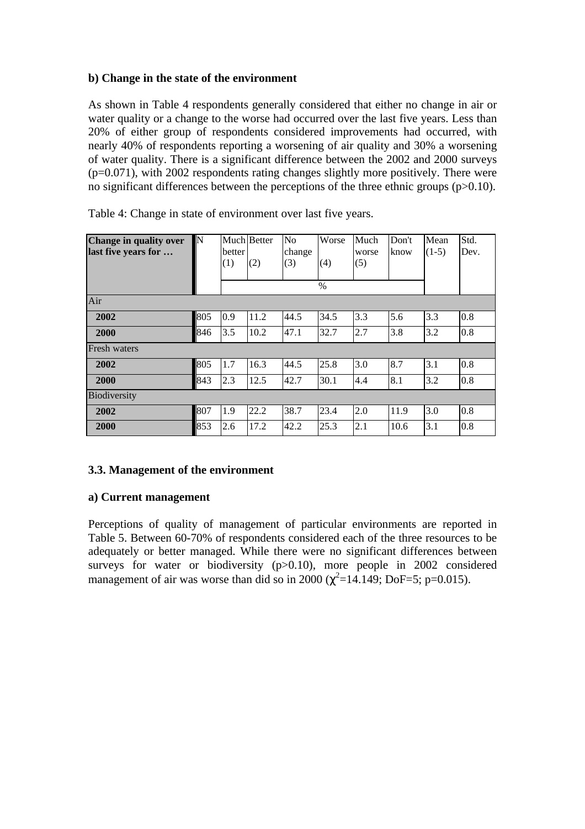## **b) Change in the state of the environment**

As shown in Table 4 respondents generally considered that either no change in air or water quality or a change to the worse had occurred over the last five years. Less than 20% of either group of respondents considered improvements had occurred, with nearly 40% of respondents reporting a worsening of air quality and 30% a worsening of water quality. There is a significant difference between the 2002 and 2000 surveys (p=0.071), with 2002 respondents rating changes slightly more positively. There were no significant differences between the perceptions of the three ethnic groups (p>0.10).

| Change in quality over<br>last five years for | N   | better<br>(1) | Much Better<br>(2) | No<br>change<br>(3) | Worse<br>(4)<br>$\frac{0}{0}$ | Much<br>worse<br>(5) | Don't<br>know | Mean<br>$(1-5)$ | Std.<br>Dev. |
|-----------------------------------------------|-----|---------------|--------------------|---------------------|-------------------------------|----------------------|---------------|-----------------|--------------|
| Air                                           |     |               |                    |                     |                               |                      |               |                 |              |
| 2002                                          | 805 | 0.9           | 11.2               | 44.5                | 34.5                          | 3.3                  | 5.6           | 3.3             | 0.8          |
| 2000                                          | 846 | 3.5           | 10.2               | 47.1                | 32.7                          | 2.7                  | 3.8           | 3.2             | 0.8          |
| <b>Fresh</b> waters                           |     |               |                    |                     |                               |                      |               |                 |              |
| 2002                                          | 805 | 1.7           | 16.3               | 44.5                | 25.8                          | 3.0                  | 8.7           | 3.1             | 0.8          |
| 2000                                          | 843 | 2.3           | 12.5               | 42.7                | 30.1                          | 4.4                  | 8.1           | 3.2             | 0.8          |
| <b>Biodiversity</b>                           |     |               |                    |                     |                               |                      |               |                 |              |
| 2002                                          | 807 | 1.9           | 22.2               | 38.7                | 23.4                          | 2.0                  | 11.9          | 3.0             | 0.8          |
| 2000                                          | 853 | 2.6           | 17.2               | 42.2                | 25.3                          | 2.1                  | 10.6          | 3.1             | 0.8          |

Table 4: Change in state of environment over last five years.

## **3.3. Management of the environment**

## **a) Current management**

Perceptions of quality of management of particular environments are reported in Table 5. Between 60-70% of respondents considered each of the three resources to be adequately or better managed. While there were no significant differences between surveys for water or biodiversity (p>0.10), more people in 2002 considered management of air was worse than did so in 2000 ( $\chi^2$ =14.149; DoF=5; p=0.015).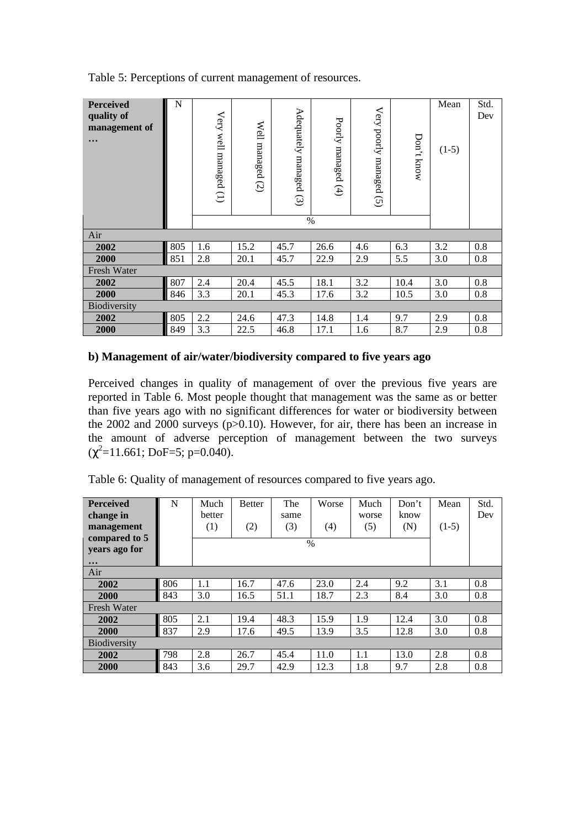Table 5: Perceptions of current management of resources.

| <b>Perceived</b><br>quality of<br>management of<br>$\ddot{\bullet}$ $\ddot{\bullet}$ | ${\bf N}$ | Very well<br>managed (1) | Well<br>managed<br>$\overline{c}$ | Adequately managed (3)<br>% | Poorly<br>managed<br>(4) | Very poorly managed (5) | Don't know | Mean<br>$(1-5)$ | Std.<br>Dev |
|--------------------------------------------------------------------------------------|-----------|--------------------------|-----------------------------------|-----------------------------|--------------------------|-------------------------|------------|-----------------|-------------|
| Air                                                                                  |           |                          |                                   |                             |                          |                         |            |                 |             |
| 2002                                                                                 | 805       | 1.6                      | 15.2                              | 45.7                        | 26.6                     | 4.6                     | 6.3        | 3.2             | 0.8         |
| 2000                                                                                 | 851       | 2.8                      | 20.1                              | 45.7                        | 22.9                     | 2.9                     | 5.5        | 3.0             | 0.8         |
| Fresh Water                                                                          |           |                          |                                   |                             |                          |                         |            |                 |             |
| 2002                                                                                 | 807       | 2.4                      | 20.4                              | 45.5                        | 18.1                     | 3.2                     | 10.4       | 3.0             | 0.8         |
| 2000                                                                                 | 846       | 3.3                      | 20.1                              | 45.3                        | 17.6                     | 3.2                     | 10.5       | 3.0             | 0.8         |
| Biodiversity                                                                         |           |                          |                                   |                             |                          |                         |            |                 |             |
| 2002                                                                                 | 805       | 2.2                      | 24.6                              | 47.3                        | 14.8                     | 1.4                     | 9.7        | 2.9             | 0.8         |
| 2000                                                                                 | 849       | 3.3                      | 22.5                              | 46.8                        | 17.1                     | 1.6                     | 8.7        | 2.9             | 0.8         |

## **b) Management of air/water/biodiversity compared to five years ago**

Perceived changes in quality of management of over the previous five years are reported in Table 6. Most people thought that management was the same as or better than five years ago with no significant differences for water or biodiversity between the 2002 and 2000 surveys ( $p > 0.10$ ). However, for air, there has been an increase in the amount of adverse perception of management between the two surveys  $(\chi^2 = 11.661; \text{DoF} = 5; \text{p} = 0.040).$ 

Table 6: Quality of management of resources compared to five years ago.

| <b>Perceived</b>          | N   | Much   | <b>Better</b> | The  | Worse | Much  | Don't | Mean    | Std. |
|---------------------------|-----|--------|---------------|------|-------|-------|-------|---------|------|
| change in                 |     | better |               | same |       | worse | know  |         | Dev  |
| management                |     | (1)    | (2)           | (3)  | (4)   | (5)   | (N)   | $(1-5)$ |      |
| compared to 5             |     |        |               | $\%$ |       |       |       |         |      |
| years ago for             |     |        |               |      |       |       |       |         |      |
| $\bullet \bullet \bullet$ |     |        |               |      |       |       |       |         |      |
| Air                       |     |        |               |      |       |       |       |         |      |
| 2002                      | 806 | 1.1    | 16.7          | 47.6 | 23.0  | 2.4   | 9.2   | 3.1     | 0.8  |
| 2000                      | 843 | 3.0    | 16.5          | 51.1 | 18.7  | 2.3   | 8.4   | 3.0     | 0.8  |
| <b>Fresh Water</b>        |     |        |               |      |       |       |       |         |      |
| 2002                      | 805 | 2.1    | 19.4          | 48.3 | 15.9  | 1.9   | 12.4  | 3.0     | 0.8  |
| 2000                      | 837 | 2.9    | 17.6          | 49.5 | 13.9  | 3.5   | 12.8  | 3.0     | 0.8  |
| <b>Biodiversity</b>       |     |        |               |      |       |       |       |         |      |
| 2002                      | 798 | 2.8    | 26.7          | 45.4 | 11.0  | 1.1   | 13.0  | 2.8     | 0.8  |
| 2000                      | 843 | 3.6    | 29.7          | 42.9 | 12.3  | 1.8   | 9.7   | 2.8     | 0.8  |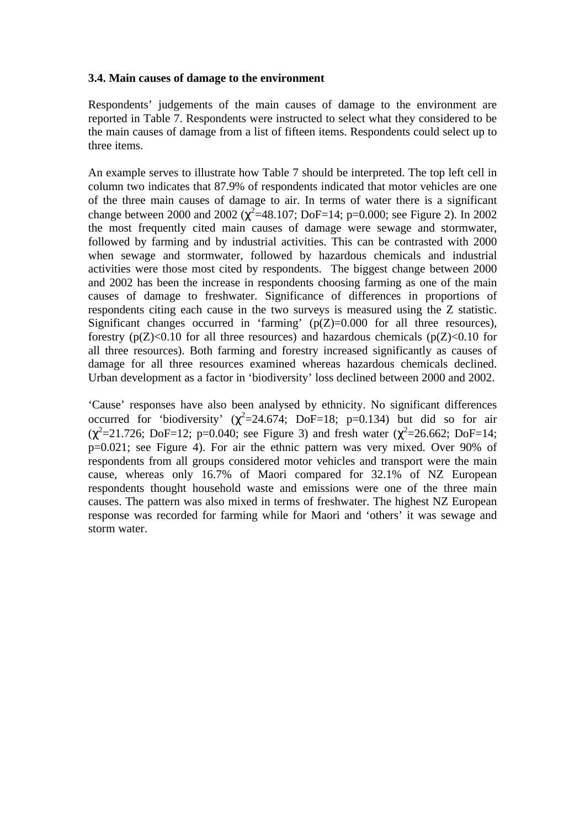#### **3.4. Main causes of damage to the environment**

Respondents' judgements of the main causes of damage to the environment are reported in Table 7. Respondents were instructed to select what they considered to be the main causes of damage from a list of fifteen items. Respondents could select up to three items.

An example serves to illustrate how Table 7 should be interpreted. The top left cell in column two indicates that 87.9% of respondents indicated that motor vehicles are one of the three main causes of damage to air. In terms of water there is a significant change between 2000 and 2002 ( $\chi^2$ =48.107; DoF=14; p=0.000; see Figure 2). In 2002 the most frequently cited main causes of damage were sewage and stormwater, followed by farming and by industrial activities. This can be contrasted with 2000 when sewage and stormwater, followed by hazardous chemicals and industrial activities were those most cited by respondents. The biggest change between 2000 and 2002 has been the increase in respondents choosing farming as one of the main causes of damage to freshwater. Significance of differences in proportions of respondents citing each cause in the two surveys is measured using the Z statistic. Significant changes occurred in 'farming'  $(p(Z)=0.000$  for all three resources), forestry  $(p(Z) < 0.10$  for all three resources) and hazardous chemicals  $(p(Z) < 0.10$  for all three resources). Both farming and forestry increased significantly as causes of damage for all three resources examined whereas hazardous chemicals declined. Urban development as a factor in 'biodiversity' loss declined between 2000 and 2002.

'Cause' responses have also been analysed by ethnicity. No significant differences occurred for 'biodiversity' ( $\chi^2$ =24.674; DoF=18; p=0.134) but did so for air  $(χ<sup>2</sup>=21.726; DoF=12; p=0.040; see Figure 3)$  and fresh water  $(χ<sup>2</sup>=26.662; DoF=14;$  $p=0.021$ ; see Figure 4). For air the ethnic pattern was very mixed. Over 90% of respondents from all groups considered motor vehicles and transport were the main cause, whereas only 16.7% of Maori compared for 32.1% of NZ European respondents thought household waste and emissions were one of the three main causes. The pattern was also mixed in terms of freshwater. The highest NZ European response was recorded for farming while for Maori and 'others' it was sewage and storm water.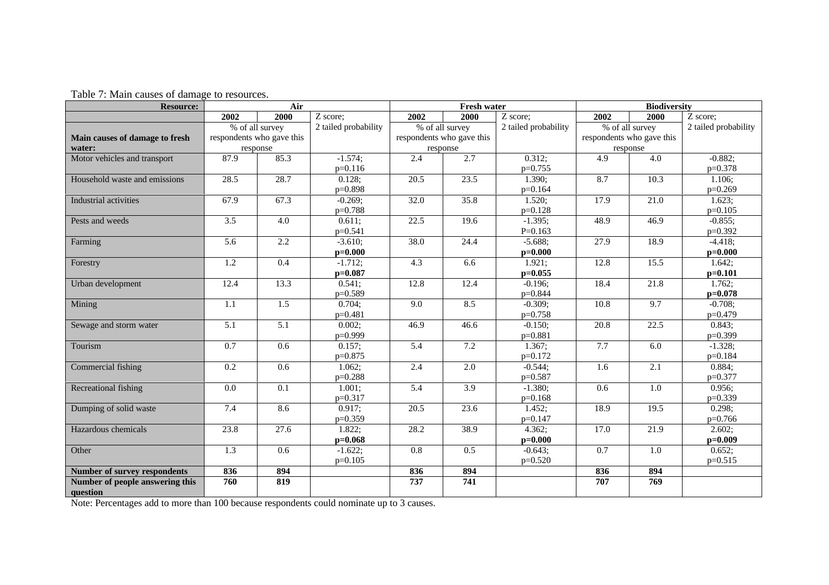| Table 7: Main causes of damage to resources. |  |
|----------------------------------------------|--|
|----------------------------------------------|--|

| <b>Resource:</b>                            | Air              |                           | <b>Fresh water</b>   |                  |                           | <b>Biodiversity</b>  |      |                           |                       |
|---------------------------------------------|------------------|---------------------------|----------------------|------------------|---------------------------|----------------------|------|---------------------------|-----------------------|
|                                             | 2002             | 2000                      | Z score;             | 2002             | 2000                      | Z score;             | 2002 | 2000                      | $\overline{Z}$ score; |
|                                             |                  | % of all survey           | 2 tailed probability |                  | % of all survey           | 2 tailed probability |      | % of all survey           | 2 tailed probability  |
| Main causes of damage to fresh              |                  | respondents who gave this |                      |                  | respondents who gave this |                      |      | respondents who gave this |                       |
| water:                                      | response         |                           |                      |                  | response                  |                      |      | response                  |                       |
| Motor vehicles and transport                | 87.9             | 85.3                      | $-1.574$ ;           | 2.4              | 2.7                       | 0.312;               | 4.9  | 4.0                       | $-0.882;$             |
|                                             |                  |                           | $p=0.116$            |                  |                           | $p=0.755$            |      |                           | $p=0.378$             |
| Household waste and emissions               | 28.5             | 28.7                      | 0.128;               | 20.5             | 23.5                      | 1.390;               | 8.7  | 10.3                      | 1.106;                |
|                                             |                  |                           | p=0.898              |                  |                           | $p=0.164$            |      |                           | $p=0.269$             |
| Industrial activities                       | 67.9             | 67.3                      | $-0.269;$            | 32.0             | 35.8                      | 1.520;               | 17.9 | 21.0                      | 1.623;                |
|                                             |                  |                           | $p=0.788$            |                  |                           | $p=0.128$            |      |                           | $p=0.105$             |
| Pests and weeds                             | 3.5              | 4.0                       | 0.611;               | 22.5             | 19.6                      | $-1.395;$            | 48.9 | 46.9                      | $-0.855;$             |
|                                             |                  |                           | p=0.541              |                  |                           | $P=0.163$            |      |                           | $p=0.392$             |
| Farming                                     | 5.6              | 2.2                       | $-3.610;$            | 38.0             | 24.4                      | $-5.688;$            | 27.9 | 18.9                      | $-4.418;$             |
|                                             |                  |                           | $p=0.000$            |                  |                           | $p=0.000$            |      |                           | $p=0.000$             |
| Forestry                                    | 1.2              | 0.4                       | $-1.712;$            | 4.3              | 6.6                       | 1.921;               | 12.8 | 15.5                      | 1.642;                |
|                                             |                  |                           | $p=0.087$            |                  |                           | $p=0.055$            |      |                           | $p=0.101$             |
| Urban development                           | 12.4             | 13.3                      | 0.541;               | 12.8             | 12.4                      | $-0.196;$            | 18.4 | 21.8                      | 1.762;                |
|                                             |                  |                           | p=0.589              |                  |                           | p=0.844              |      |                           | $p=0.078$             |
| Mining                                      | 1.1              | 1.5                       | 0.704;               | 9.0              | 8.5                       | $-0.309;$            | 10.8 | 9.7                       | $-0.708;$             |
|                                             |                  |                           | $p=0.481$            |                  |                           | $p=0.758$            |      |                           | $p=0.479$             |
| Sewage and storm water                      | $\overline{5.1}$ | $\overline{5.1}$          | 0.002;               | 46.9             | 46.6                      | $-0.150;$            | 20.8 | $\overline{22.5}$         | 0.843;                |
|                                             |                  |                           | $p=0.999$            |                  |                           | $p=0.881$            |      |                           | p=0.399               |
| Tourism                                     | 0.7              | 0.6                       | 0.157;               | 5.4              | 7.2                       | 1.367;               | 7.7  | 6.0                       | $-1.328;$             |
|                                             |                  |                           | $p=0.875$            |                  |                           | $p=0.172$            |      |                           | p=0.184               |
| Commercial fishing                          | 0.2              | 0.6                       | $1.062$ ;            | 2.4              | 2.0                       | $-0.544;$            | 1.6  | 2.1                       | 0.884;                |
|                                             |                  |                           | $p=0.288$            |                  |                           | p=0.587              |      |                           | p=0.377               |
| Recreational fishing                        | 0.0              | $\overline{0.1}$          | 1.001;               | $\overline{5.4}$ | $\overline{3.9}$          | $-1.380;$            | 0.6  | 1.0                       | 0.956;                |
|                                             |                  |                           | $p=0.317$            |                  |                           | $p=0.168$            |      |                           | p=0.339               |
| Dumping of solid waste                      | 7.4              | 8.6                       | 0.917;               | 20.5             | 23.6                      | 1.452;               | 18.9 | 19.5                      | 0.298;                |
|                                             |                  |                           | $p=0.359$            |                  |                           | $p=0.147$            |      |                           | $p=0.766$             |
| Hazardous chemicals                         | 23.8             | $\overline{27.6}$         | 1.822;               | 28.2             | 38.9                      | 4.362;               | 17.0 | 21.9                      | 2.602;                |
|                                             |                  |                           | $p=0.068$            |                  |                           | $p=0.000$            |      |                           | $p=0.009$             |
| Other                                       | 1.3              | 0.6                       | $-1.622;$            | 0.8              | 0.5                       | $-0.643;$            | 0.7  | $1.0\,$                   | 0.652;                |
|                                             |                  |                           | $p=0.105$            |                  |                           | $p=0.520$            |      |                           | $p=0.515$             |
| <b>Number of survey respondents</b>         | 836              | 894                       |                      | 836              | 894                       |                      | 836  | 894                       |                       |
| Number of people answering this<br>question | 760              | 819                       |                      | 737              | $\overline{741}$          |                      | 707  | 769                       |                       |

Note: Percentages add to more than 100 because respondents could nominate up to 3 causes.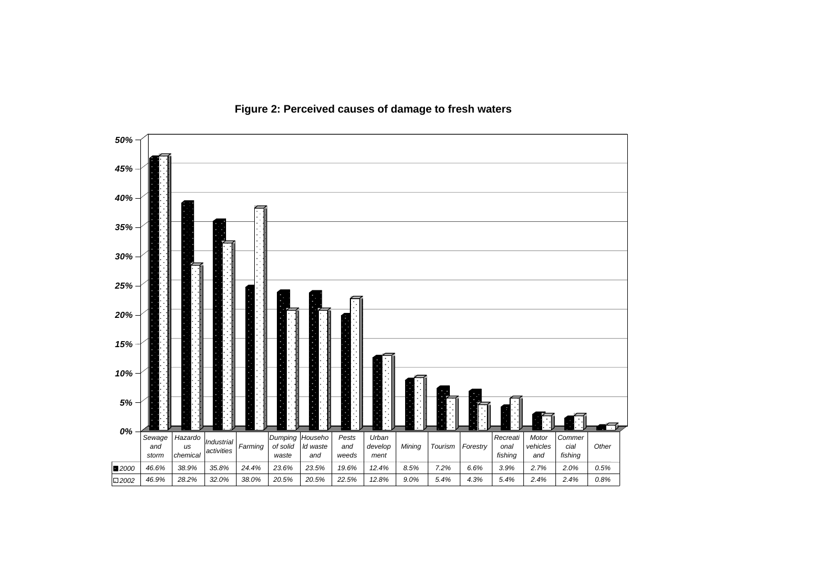

**Figure 2: Perceived causes of damage to fresh waters**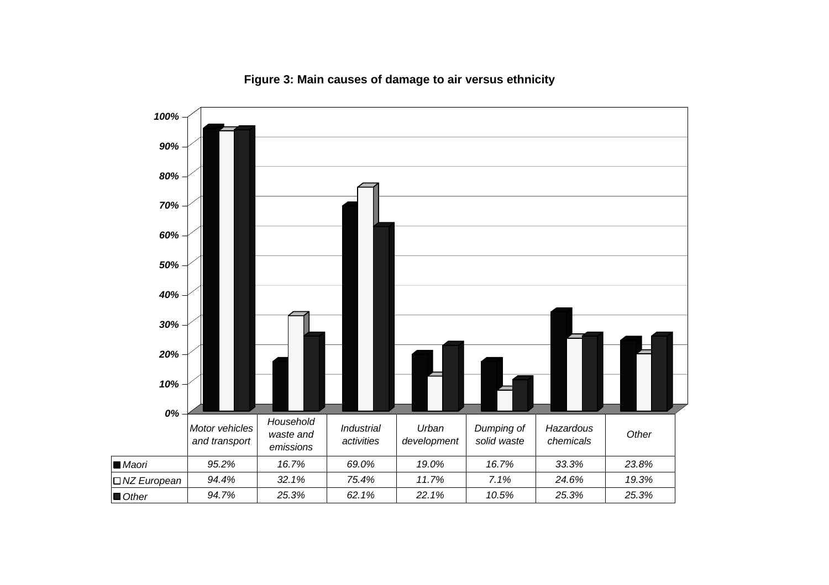

**Figure 3: Main causes of damage to air versus ethnicity**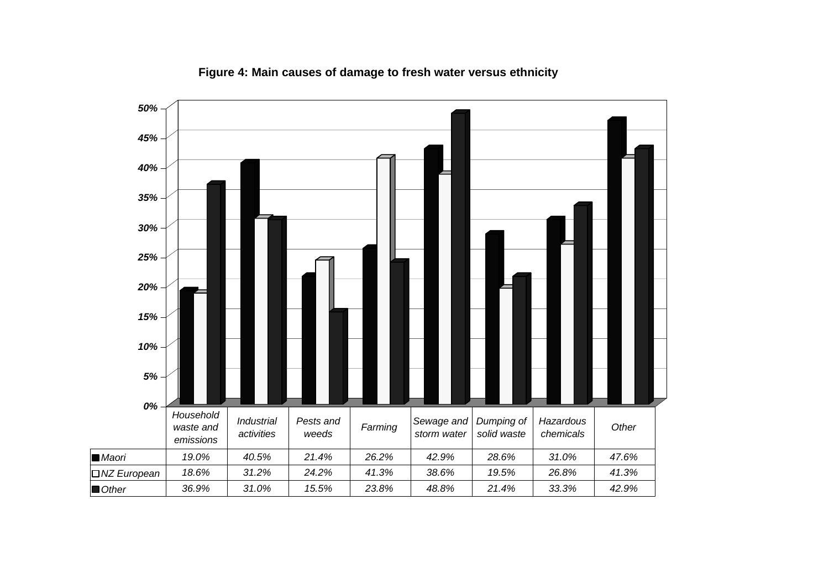

**Figure 4: Main causes of damage to fresh water versus ethnicity**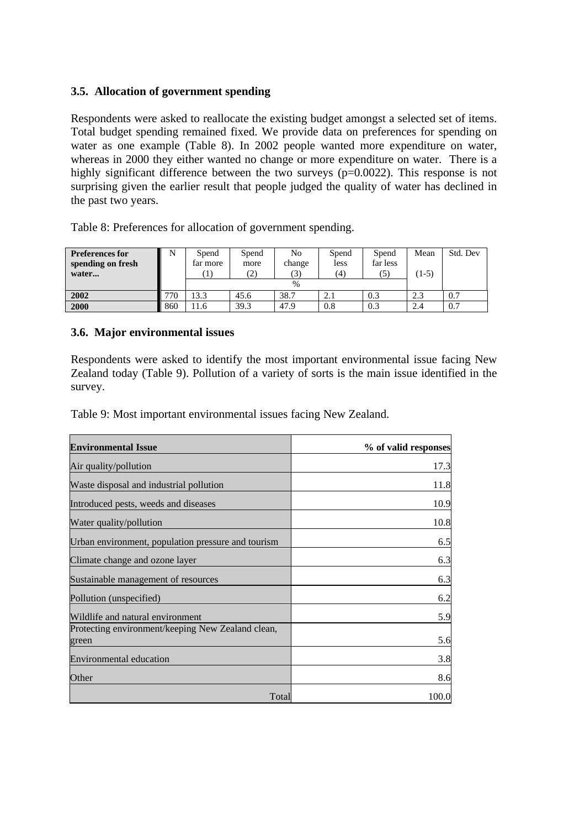## **3.5. Allocation of government spending**

Respondents were asked to reallocate the existing budget amongst a selected set of items. Total budget spending remained fixed. We provide data on preferences for spending on water as one example (Table 8). In 2002 people wanted more expenditure on water, whereas in 2000 they either wanted no change or more expenditure on water. There is a highly significant difference between the two surveys (p=0.0022). This response is not surprising given the earlier result that people judged the quality of water has declined in the past two years.

Spend far more (1) **Spend** more (2) No change (3) Spend less (4) Spend far less (5) **Preferences for spending on fresh water...** N % Mean  $(1-5)$ Std. Dev **2002** 770 13.3 45.6 38.7 2.1 0.3 2.3 0.7 **2000** 860 11.6 39.3 47.9 0.8 0.3 2.4 0.7

Table 8: Preferences for allocation of government spending.

## **3.6. Major environmental issues**

Respondents were asked to identify the most important environmental issue facing New Zealand today (Table 9). Pollution of a variety of sorts is the main issue identified in the survey.

Table 9: Most important environmental issues facing New Zealand.

| <b>Environmental Issue</b>                                 | % of valid responses |
|------------------------------------------------------------|----------------------|
| Air quality/pollution                                      | 17.3                 |
| Waste disposal and industrial pollution                    | 11.8                 |
| Introduced pests, weeds and diseases                       | 10.9                 |
| Water quality/pollution                                    | 10.8                 |
| Urban environment, population pressure and tourism         | 6.5                  |
| Climate change and ozone layer                             | 6.3                  |
| Sustainable management of resources                        | 6.3                  |
| Pollution (unspecified)                                    | 6.2                  |
| Wildlife and natural environment                           | 5.9                  |
| Protecting environment/keeping New Zealand clean,<br>green | 5.6                  |
| <b>Environmental education</b>                             | 3.8                  |
| Other                                                      | 8.6                  |
| Total                                                      | 100.0                |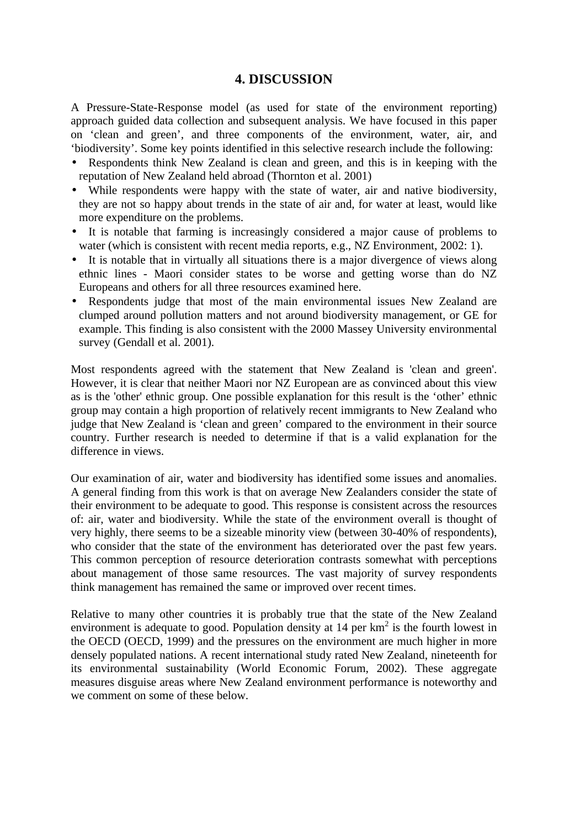## **4. DISCUSSION**

A Pressure-State-Response model (as used for state of the environment reporting) approach guided data collection and subsequent analysis. We have focused in this paper on 'clean and green', and three components of the environment, water, air, and 'biodiversity'. Some key points identified in this selective research include the following:

- Respondents think New Zealand is clean and green, and this is in keeping with the reputation of New Zealand held abroad (Thornton et al. 2001)
- While respondents were happy with the state of water, air and native biodiversity, they are not so happy about trends in the state of air and, for water at least, would like more expenditure on the problems.
- It is notable that farming is increasingly considered a major cause of problems to water (which is consistent with recent media reports, e.g., NZ Environment, 2002: 1).
- It is notable that in virtually all situations there is a major divergence of views along ethnic lines - Maori consider states to be worse and getting worse than do NZ Europeans and others for all three resources examined here.
- Respondents judge that most of the main environmental issues New Zealand are clumped around pollution matters and not around biodiversity management, or GE for example. This finding is also consistent with the 2000 Massey University environmental survey (Gendall et al. 2001).

Most respondents agreed with the statement that New Zealand is 'clean and green'. However, it is clear that neither Maori nor NZ European are as convinced about this view as is the 'other' ethnic group. One possible explanation for this result is the 'other' ethnic group may contain a high proportion of relatively recent immigrants to New Zealand who judge that New Zealand is 'clean and green' compared to the environment in their source country. Further research is needed to determine if that is a valid explanation for the difference in views.

Our examination of air, water and biodiversity has identified some issues and anomalies. A general finding from this work is that on average New Zealanders consider the state of their environment to be adequate to good. This response is consistent across the resources of: air, water and biodiversity. While the state of the environment overall is thought of very highly, there seems to be a sizeable minority view (between 30-40% of respondents), who consider that the state of the environment has deteriorated over the past few years. This common perception of resource deterioration contrasts somewhat with perceptions about management of those same resources. The vast majority of survey respondents think management has remained the same or improved over recent times.

Relative to many other countries it is probably true that the state of the New Zealand environment is adequate to good. Population density at  $14$  per  $km^2$  is the fourth lowest in the OECD (OECD, 1999) and the pressures on the environment are much higher in more densely populated nations. A recent international study rated New Zealand, nineteenth for its environmental sustainability (World Economic Forum, 2002). These aggregate measures disguise areas where New Zealand environment performance is noteworthy and we comment on some of these below.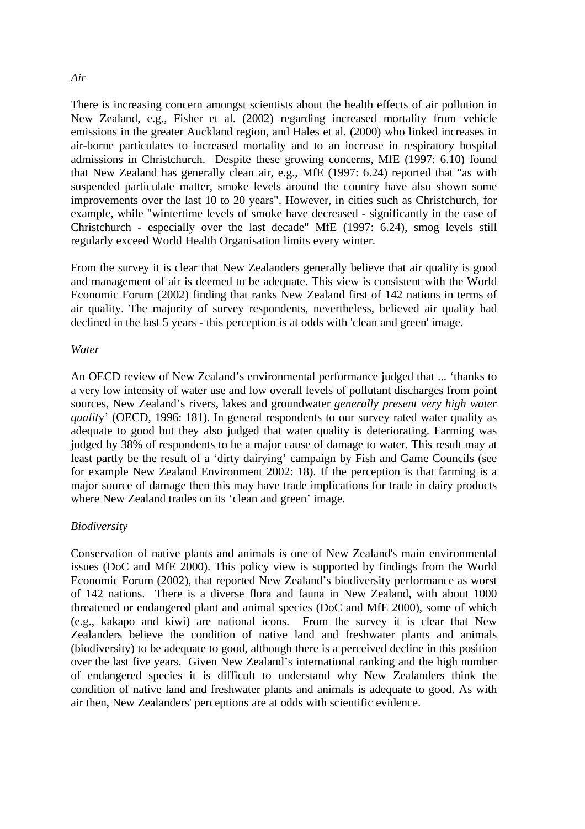#### *Air*

There is increasing concern amongst scientists about the health effects of air pollution in New Zealand, e.g., Fisher et al. (2002) regarding increased mortality from vehicle emissions in the greater Auckland region, and Hales et al. (2000) who linked increases in air-borne particulates to increased mortality and to an increase in respiratory hospital admissions in Christchurch. Despite these growing concerns, MfE (1997: 6.10) found that New Zealand has generally clean air, e.g., MfE (1997: 6.24) reported that "as with suspended particulate matter, smoke levels around the country have also shown some improvements over the last 10 to 20 years". However, in cities such as Christchurch, for example, while "wintertime levels of smoke have decreased - significantly in the case of Christchurch - especially over the last decade" MfE (1997: 6.24), smog levels still regularly exceed World Health Organisation limits every winter.

From the survey it is clear that New Zealanders generally believe that air quality is good and management of air is deemed to be adequate. This view is consistent with the World Economic Forum (2002) finding that ranks New Zealand first of 142 nations in terms of air quality. The majority of survey respondents, nevertheless, believed air quality had declined in the last 5 years - this perception is at odds with 'clean and green' image.

#### *Water*

An OECD review of New Zealand's environmental performance judged that ... 'thanks to a very low intensity of water use and low overall levels of pollutant discharges from point sources, New Zealand's rivers, lakes and groundwater *generally present very high water qualit*y' (OECD, 1996: 181). In general respondents to our survey rated water quality as adequate to good but they also judged that water quality is deteriorating. Farming was judged by 38% of respondents to be a major cause of damage to water. This result may at least partly be the result of a 'dirty dairying' campaign by Fish and Game Councils (see for example New Zealand Environment 2002: 18). If the perception is that farming is a major source of damage then this may have trade implications for trade in dairy products where New Zealand trades on its 'clean and green' image.

#### *Biodiversity*

Conservation of native plants and animals is one of New Zealand's main environmental issues (DoC and MfE 2000). This policy view is supported by findings from the World Economic Forum (2002), that reported New Zealand's biodiversity performance as worst of 142 nations. There is a diverse flora and fauna in New Zealand, with about 1000 threatened or endangered plant and animal species (DoC and MfE 2000), some of which (e.g., kakapo and kiwi) are national icons. From the survey it is clear that New Zealanders believe the condition of native land and freshwater plants and animals (biodiversity) to be adequate to good, although there is a perceived decline in this position over the last five years. Given New Zealand's international ranking and the high number of endangered species it is difficult to understand why New Zealanders think the condition of native land and freshwater plants and animals is adequate to good. As with air then, New Zealanders' perceptions are at odds with scientific evidence.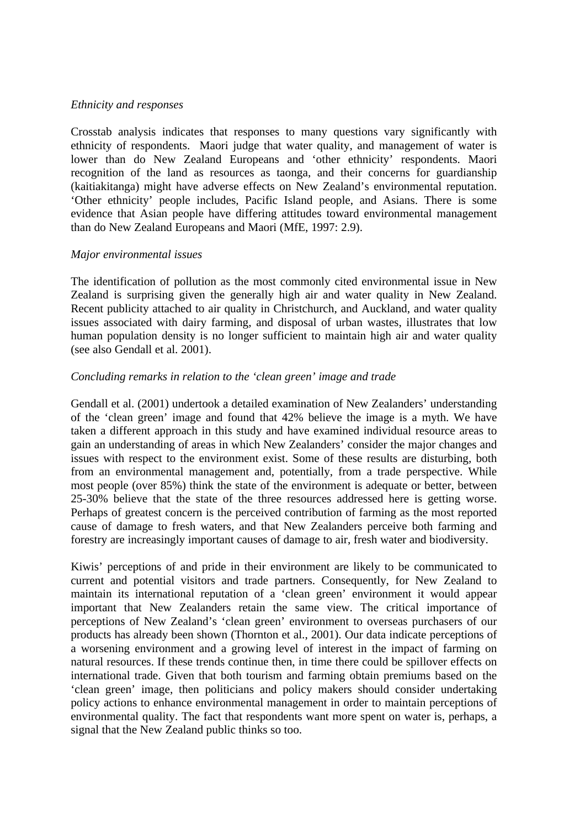## *Ethnicity and responses*

Crosstab analysis indicates that responses to many questions vary significantly with ethnicity of respondents. Maori judge that water quality, and management of water is lower than do New Zealand Europeans and 'other ethnicity' respondents. Maori recognition of the land as resources as taonga, and their concerns for guardianship (kaitiakitanga) might have adverse effects on New Zealand's environmental reputation. 'Other ethnicity' people includes, Pacific Island people, and Asians. There is some evidence that Asian people have differing attitudes toward environmental management than do New Zealand Europeans and Maori (MfE, 1997: 2.9).

## *Major environmental issues*

The identification of pollution as the most commonly cited environmental issue in New Zealand is surprising given the generally high air and water quality in New Zealand. Recent publicity attached to air quality in Christchurch, and Auckland, and water quality issues associated with dairy farming, and disposal of urban wastes, illustrates that low human population density is no longer sufficient to maintain high air and water quality (see also Gendall et al. 2001).

## *Concluding remarks in relation to the 'clean green' image and trade*

Gendall et al. (2001) undertook a detailed examination of New Zealanders' understanding of the 'clean green' image and found that 42% believe the image is a myth. We have taken a different approach in this study and have examined individual resource areas to gain an understanding of areas in which New Zealanders' consider the major changes and issues with respect to the environment exist. Some of these results are disturbing, both from an environmental management and, potentially, from a trade perspective. While most people (over 85%) think the state of the environment is adequate or better, between 25-30% believe that the state of the three resources addressed here is getting worse. Perhaps of greatest concern is the perceived contribution of farming as the most reported cause of damage to fresh waters, and that New Zealanders perceive both farming and forestry are increasingly important causes of damage to air, fresh water and biodiversity.

Kiwis' perceptions of and pride in their environment are likely to be communicated to current and potential visitors and trade partners. Consequently, for New Zealand to maintain its international reputation of a 'clean green' environment it would appear important that New Zealanders retain the same view. The critical importance of perceptions of New Zealand's 'clean green' environment to overseas purchasers of our products has already been shown (Thornton et al., 2001). Our data indicate perceptions of a worsening environment and a growing level of interest in the impact of farming on natural resources. If these trends continue then, in time there could be spillover effects on international trade. Given that both tourism and farming obtain premiums based on the 'clean green' image, then politicians and policy makers should consider undertaking policy actions to enhance environmental management in order to maintain perceptions of environmental quality. The fact that respondents want more spent on water is, perhaps, a signal that the New Zealand public thinks so too.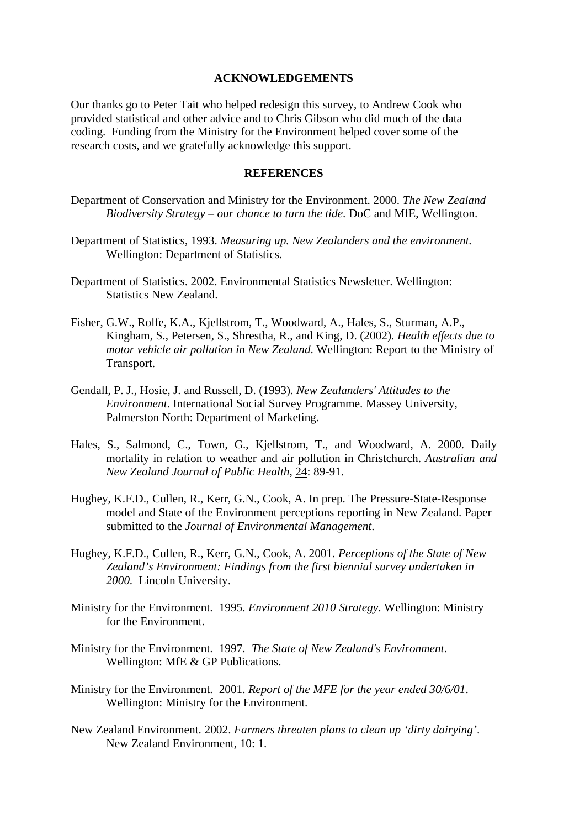#### **ACKNOWLEDGEMENTS**

Our thanks go to Peter Tait who helped redesign this survey, to Andrew Cook who provided statistical and other advice and to Chris Gibson who did much of the data coding. Funding from the Ministry for the Environment helped cover some of the research costs, and we gratefully acknowledge this support.

#### **REFERENCES**

- Department of Conservation and Ministry for the Environment. 2000. *The New Zealand Biodiversity Strategy – our chance to turn the tide*. DoC and MfE, Wellington.
- Department of Statistics, 1993. *Measuring up. New Zealanders and the environment.* Wellington: Department of Statistics.
- Department of Statistics. 2002. Environmental Statistics Newsletter. Wellington: Statistics New Zealand.
- Fisher, G.W., Rolfe, K.A., Kjellstrom, T., Woodward, A., Hales, S., Sturman, A.P., Kingham, S., Petersen, S., Shrestha, R., and King, D. (2002). *Health effects due to motor vehicle air pollution in New Zealand*. Wellington: Report to the Ministry of Transport.
- Gendall, P. J., Hosie, J. and Russell, D. (1993). *New Zealanders' Attitudes to the Environment*. International Social Survey Programme. Massey University, Palmerston North: Department of Marketing.
- Hales, S., Salmond, C., Town, G., Kjellstrom, T., and Woodward, A. 2000. Daily mortality in relation to weather and air pollution in Christchurch. *Australian and New Zealand Journal of Public Health*, 24: 89-91.
- Hughey, K.F.D., Cullen, R., Kerr, G.N., Cook, A. In prep. The Pressure-State-Response model and State of the Environment perceptions reporting in New Zealand. Paper submitted to the *Journal of Environmental Management*.
- Hughey, K.F.D., Cullen, R., Kerr, G.N., Cook, A. 2001. *Perceptions of the State of New Zealand's Environment: Findings from the first biennial survey undertaken in 2000.* Lincoln University.
- Ministry for the Environment. 1995. *Environment 2010 Strategy*. Wellington: Ministry for the Environment.
- Ministry for the Environment. 1997. *The State of New Zealand's Environment*. Wellington: MfE & GP Publications.
- Ministry for the Environment. 2001. *Report of the MFE for the year ended 30/6/01*. Wellington: Ministry for the Environment.
- New Zealand Environment. 2002. *Farmers threaten plans to clean up 'dirty dairying'*. New Zealand Environment, 10: 1.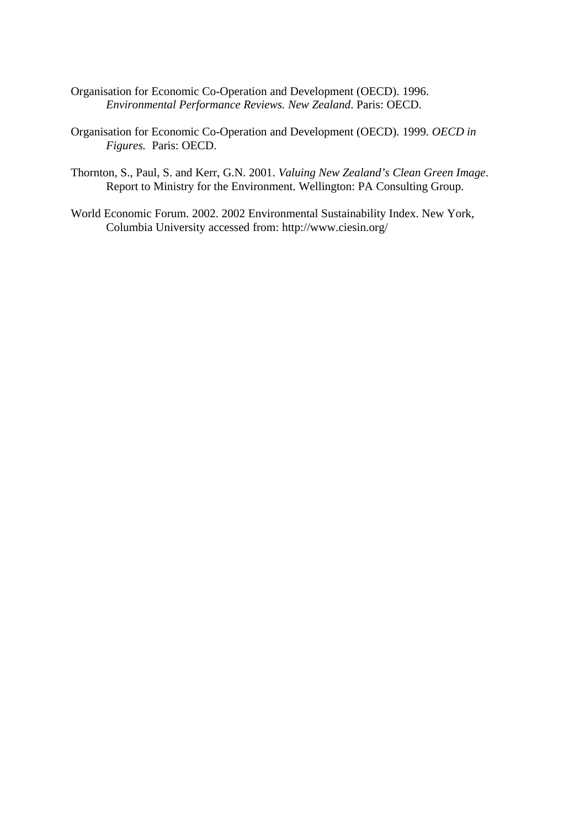- Organisation for Economic Co-Operation and Development (OECD). 1996. *Environmental Performance Reviews. New Zealand*. Paris: OECD.
- Organisation for Economic Co-Operation and Development (OECD). 1999. *OECD in Figures.* Paris: OECD.
- Thornton, S., Paul, S. and Kerr, G.N. 2001. *Valuing New Zealand's Clean Green Image*. Report to Ministry for the Environment. Wellington: PA Consulting Group.
- World Economic Forum. 2002. 2002 Environmental Sustainability Index. New York, Columbia University accessed from: http://www.ciesin.org/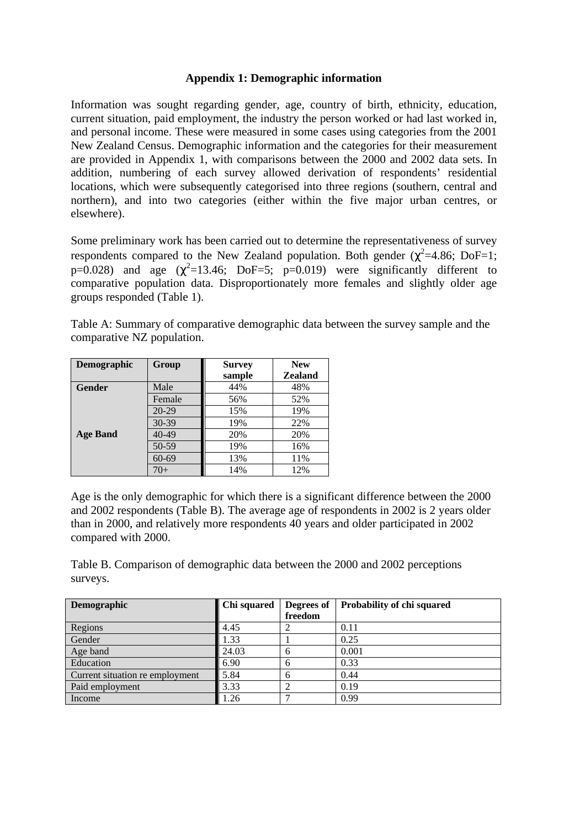## **Appendix 1: Demographic information**

Information was sought regarding gender, age, country of birth, ethnicity, education, current situation, paid employment, the industry the person worked or had last worked in, and personal income. These were measured in some cases using categories from the 2001 New Zealand Census. Demographic information and the categories for their measurement are provided in Appendix 1, with comparisons between the 2000 and 2002 data sets. In addition, numbering of each survey allowed derivation of respondents' residential locations, which were subsequently categorised into three regions (southern, central and northern), and into two categories (either within the five major urban centres, or elsewhere).

Some preliminary work has been carried out to determine the representativeness of survey respondents compared to the New Zealand population. Both gender ( $\chi^2$ =4.86; DoF=1; p=0.028) and age  $(\chi^2=13.46;$  DoF=5; p=0.019) were significantly different to comparative population data. Disproportionately more females and slightly older age groups responded (Table 1).

Table A: Summary of comparative demographic data between the survey sample and the comparative NZ population.

| <b>Demographic</b> | Group     | <b>Survey</b> | <b>New</b>     |
|--------------------|-----------|---------------|----------------|
|                    |           | sample        | <b>Zealand</b> |
| Gender             | Male      | 44%           | 48%            |
|                    | Female    | 56%           | 52%            |
|                    | $20 - 29$ | 15%           | 19%            |
|                    | $30 - 39$ | 19%           | 22%            |
| <b>Age Band</b>    | $40 - 49$ | 20%           | 20%            |
|                    | 50-59     | 19%           | 16%            |
|                    | $60 - 69$ | 13%           | 11%            |
|                    | 70+       | 14%           | 12%            |

Age is the only demographic for which there is a significant difference between the 2000 and 2002 respondents (Table B). The average age of respondents in 2002 is 2 years older than in 2000, and relatively more respondents 40 years and older participated in 2002 compared with 2000.

Table B. Comparison of demographic data between the 2000 and 2002 perceptions surveys.

| Demographic                     | <b>Chi</b> squared | Degrees of | Probability of chi squared |
|---------------------------------|--------------------|------------|----------------------------|
|                                 |                    | freedom    |                            |
| Regions                         | 4.45               |            | 0.11                       |
| Gender                          | 1.33               |            | 0.25                       |
| Age band                        | 24.03              | h          | 0.001                      |
| Education                       | 6.90               | h          | 0.33                       |
| Current situation re employment | 5.84               | h          | 0.44                       |
| Paid employment                 | 3.33               |            | 0.19                       |
| Income                          | 1.26               |            | 0.99                       |